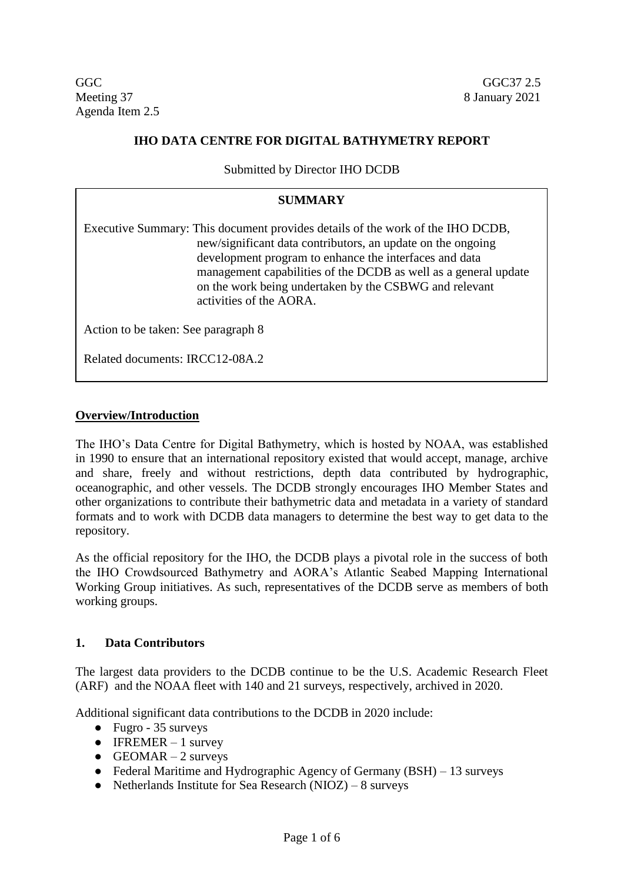$GGC$  GGC $37\ 2.5$ Meeting 37 8 January 2021 Agenda Item 2.5

## **IHO DATA CENTRE FOR DIGITAL BATHYMETRY REPORT**

Submitted by Director IHO DCDB

### **SUMMARY**

Executive Summary: This document provides details of the work of the IHO DCDB, new/significant data contributors, an update on the ongoing development program to enhance the interfaces and data management capabilities of the DCDB as well as a general update on the work being undertaken by the CSBWG and relevant activities of the AORA.

Action to be taken: See paragraph 8

Related documents: IRCC12-08A.2

#### **Overview/Introduction**

The IHO's Data Centre for Digital Bathymetry, which is hosted by NOAA, was established in 1990 to ensure that an international repository existed that would accept, manage, archive and share, freely and without restrictions, depth data contributed by hydrographic, oceanographic, and other vessels. The DCDB strongly encourages IHO Member States and other organizations to contribute their bathymetric data and metadata in a variety of standard formats and to work with DCDB data managers to determine the best way to get data to the repository.

As the official repository for the IHO, the DCDB plays a pivotal role in the success of both the IHO Crowdsourced Bathymetry and AORA's Atlantic Seabed Mapping International Working Group initiatives. As such, representatives of the DCDB serve as members of both working groups.

#### **1. Data Contributors**

The largest data providers to the DCDB continue to be the U.S. Academic Research Fleet (ARF) and the NOAA fleet with 140 and 21 surveys, respectively, archived in 2020.

Additional significant data contributions to the DCDB in 2020 include:

- Fugro 35 surveys
- $\bullet$  IFREMER 1 survey
- $\bullet$  GEOMAR 2 surveys
- Federal Maritime and Hydrographic Agency of Germany (BSH) 13 surveys
- Netherlands Institute for Sea Research  $(NIOZ) 8$  surveys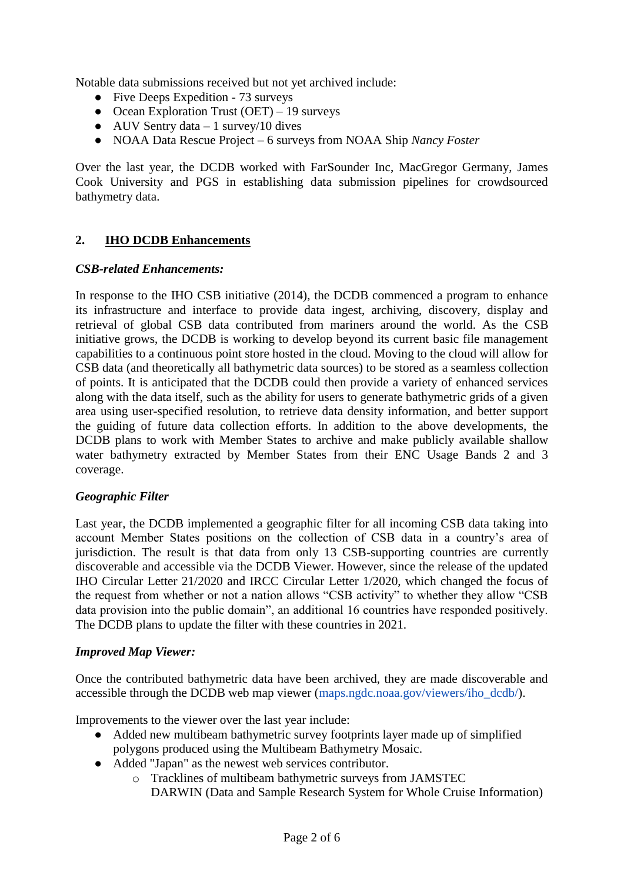Notable data submissions received but not yet archived include:

- Five Deeps Expedition 73 surveys
- Ocean Exploration Trust (OET) 19 surveys
- $\bullet$  AUV Sentry data 1 survey/10 dives
- NOAA Data Rescue Project 6 surveys from NOAA Ship *Nancy Foster*

Over the last year, the DCDB worked with FarSounder Inc, MacGregor Germany, James Cook University and PGS in establishing data submission pipelines for crowdsourced bathymetry data.

# **2. IHO DCDB Enhancements**

### *CSB-related Enhancements:*

In response to the IHO CSB initiative (2014), the DCDB commenced a program to enhance its infrastructure and interface to provide data ingest, archiving, discovery, display and retrieval of global CSB data contributed from mariners around the world. As the CSB initiative grows, the DCDB is working to develop beyond its current basic file management capabilities to a continuous point store hosted in the cloud. Moving to the cloud will allow for CSB data (and theoretically all bathymetric data sources) to be stored as a seamless collection of points. It is anticipated that the DCDB could then provide a variety of enhanced services along with the data itself, such as the ability for users to generate bathymetric grids of a given area using user-specified resolution, to retrieve data density information, and better support the guiding of future data collection efforts. In addition to the above developments, the DCDB plans to work with Member States to archive and make publicly available shallow water bathymetry extracted by Member States from their ENC Usage Bands 2 and 3 coverage.

### *Geographic Filter*

Last year, the DCDB implemented a geographic filter for all incoming CSB data taking into account Member States positions on the collection of CSB data in a country's area of jurisdiction. The result is that data from only 13 CSB-supporting countries are currently discoverable and accessible via the DCDB Viewer. However, since the release of the updated IHO Circular Letter 21/2020 and IRCC Circular Letter 1/2020, which changed the focus of the request from whether or not a nation allows "CSB activity" to whether they allow "CSB data provision into the public domain", an additional 16 countries have responded positively. The DCDB plans to update the filter with these countries in 2021.

#### *Improved Map Viewer:*

Once the contributed bathymetric data have been archived, they are made discoverable and accessible through the DCDB web map viewer (maps.ngdc.noaa.gov/viewers/iho\_dcdb/).

Improvements to the viewer over the last year include:

- Added new multibeam bathymetric survey footprints layer made up of simplified polygons produced using the [Multibeam Bathymetry Mosaic.](https://noaa.maps.arcgis.com/home/item.html?id=0441041574c544dc9b6b8a513cad5e95)
- Added "Japan" as the newest web services contributor.
	- o Tracklines of multibeam bathymetric surveys from JAMSTEC DARWIN (Data and Sample Research System for Whole Cruise Information)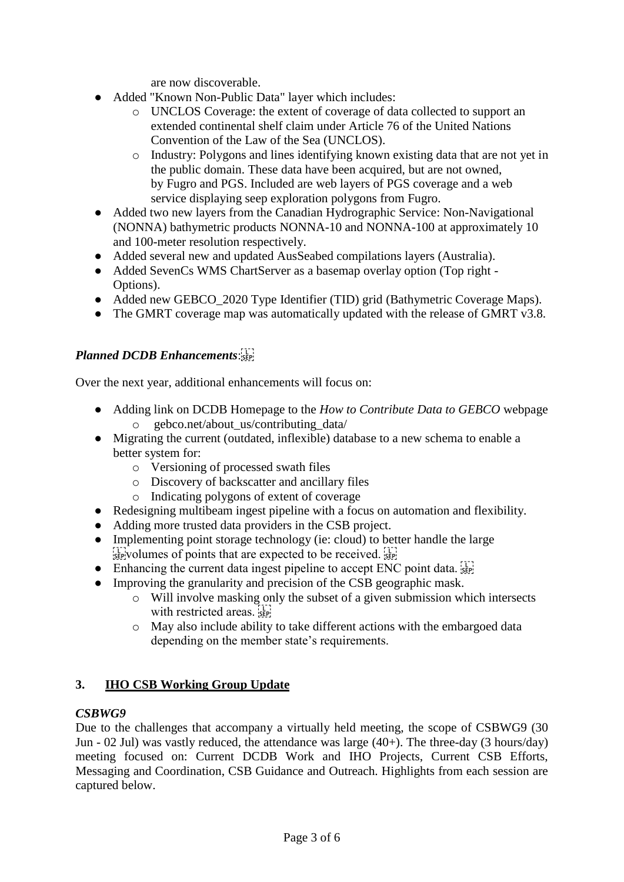are now discoverable.

- Added "Known Non-Public Data" layer which includes:
	- o UNCLOS Coverage: the extent of coverage of data collected to support an extended continental shelf claim under Article 76 of the United Nations Convention of the Law of the Sea (UNCLOS).
	- o Industry: Polygons and lines identifying known existing data that are not yet in the public domain. These data have been acquired, but are not owned, by Fugro and PGS. Included are web layers of PGS coverage and a web service displaying seep exploration polygons from Fugro.
- Added two new layers from the [Canadian Hydrographic Service:](http://www.charts.gc.ca/index-eng.html) Non-Navigational (NONNA) bathymetric products [NONNA-10 and NONNA-100](https://open.canada.ca/data/en/dataset/d3881c4c-650d-4070-bf9b-1e00aabf0a1d) at approximately 10 and 100-meter resolution respectively.
- Added several new and updated AusSeabed compilations layers (Australia).
- Added SevenCs WMS ChartServer as a basemap overlay option (Top right -Options).
- Added new GEBCO\_2020 Type Identifier (TID) grid (Bathymetric Coverage Maps).
- The GMRT coverage map was automatically updated with the release of GMRT v3.8.

# *Planned DCDB Enhancements*:

Over the next year, additional enhancements will focus on:

- Adding link on DCDB Homepage to the *How to Contribute Data to GEBCO* webpage o gebco.net/about\_us/contributing\_data/
- Migrating the current (outdated, inflexible) database to a new schema to enable a better system for:
	- o Versioning of processed swath files
	- o Discovery of backscatter and ancillary files
	- o Indicating polygons of extent of coverage
- Redesigning multibeam ingest pipeline with a focus on automation and flexibility.
- Adding more trusted data providers in the CSB project.
- Implementing point storage technology (ie: cloud) to better handle the large  $\sum_{s \in \mathbb{R}}$  volumes of points that are expected to be received.
- Enhancing the current data ingest pipeline to accept ENC point data.  $\frac{1}{15}$
- Improving the granularity and precision of the CSB geographic mask.
	- o Will involve masking only the subset of a given submission which intersects with restricted areas.
	- o May also include ability to take different actions with the embargoed data depending on the member state's requirements.

### **3. IHO CSB Working Group Update**

### *CSBWG9*

Due to the challenges that accompany a virtually held meeting, the scope of CSBWG9 (30 Jun - 02 Jul) was vastly reduced, the attendance was large (40+). The three-day (3 hours/day) meeting focused on: Current DCDB Work and IHO Projects, Current CSB Efforts, Messaging and Coordination, CSB Guidance and Outreach. Highlights from each session are captured below.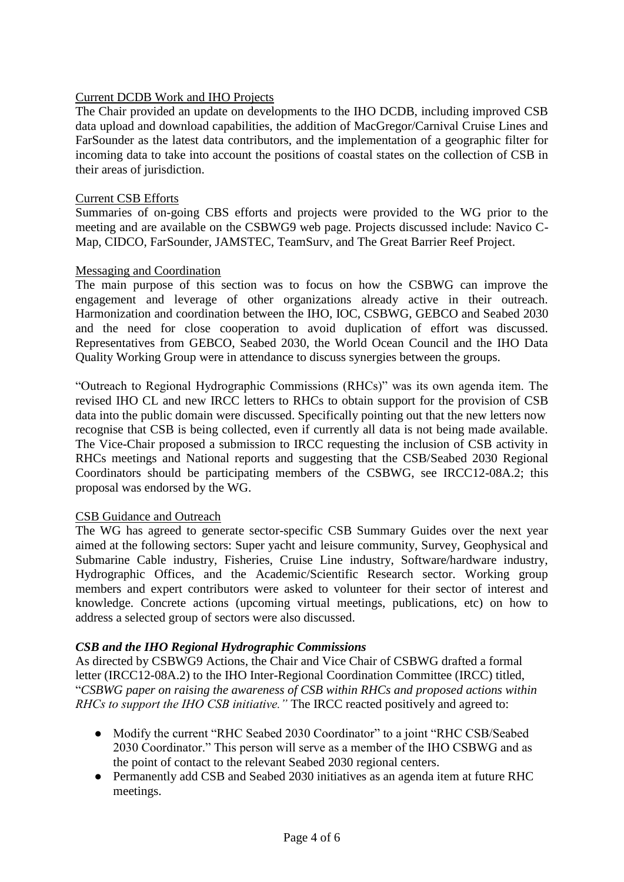### Current DCDB Work and IHO Projects

The Chair provided an update on developments to the IHO DCDB, including improved CSB data upload and download capabilities, the addition of MacGregor/Carnival Cruise Lines and FarSounder as the latest data contributors, and the implementation of a geographic filter for incoming data to take into account the positions of coastal states on the collection of CSB in their areas of jurisdiction.

#### Current CSB Efforts

Summaries of on-going CBS efforts and projects were provided to the WG prior to the meeting and are available on the CSBWG9 web page. Projects discussed include: Navico C-Map, CIDCO, FarSounder, JAMSTEC, TeamSurv, and The Great Barrier Reef Project.

#### Messaging and Coordination

The main purpose of this section was to focus on how the CSBWG can improve the engagement and leverage of other organizations already active in their outreach. Harmonization and coordination between the IHO, IOC, CSBWG, GEBCO and Seabed 2030 and the need for close cooperation to avoid duplication of effort was discussed. Representatives from GEBCO, Seabed 2030, the World Ocean Council and the IHO Data Quality Working Group were in attendance to discuss synergies between the groups.

"Outreach to Regional Hydrographic Commissions (RHCs)" was its own agenda item. The revised IHO CL and new IRCC letters to RHCs to obtain support for the provision of CSB data into the public domain were discussed. Specifically pointing out that the new letters now recognise that CSB is being collected, even if currently all data is not being made available. The Vice-Chair proposed a submission to IRCC requesting the inclusion of CSB activity in RHCs meetings and National reports and suggesting that the CSB/Seabed 2030 Regional Coordinators should be participating members of the CSBWG, see IRCC12-08A.2; this proposal was endorsed by the WG.

#### CSB Guidance and Outreach

The WG has agreed to generate sector-specific CSB Summary Guides over the next year aimed at the following sectors: Super yacht and leisure community, Survey, Geophysical and Submarine Cable industry, Fisheries, Cruise Line industry, Software/hardware industry, Hydrographic Offices, and the Academic/Scientific Research sector. Working group members and expert contributors were asked to volunteer for their sector of interest and knowledge. Concrete actions (upcoming virtual meetings, publications, etc) on how to address a selected group of sectors were also discussed.

#### *CSB and the IHO Regional Hydrographic Commissions*

As directed by CSBWG9 Actions, the Chair and Vice Chair of CSBWG drafted a formal letter (IRCC12-08A.2) to the IHO Inter-Regional Coordination Committee (IRCC) titled, "*CSBWG paper on raising the awareness of CSB within RHCs and proposed actions within RHCs to support the IHO CSB initiative."* The IRCC reacted positively and agreed to:

- Modify the current "RHC Seabed 2030 Coordinator" to a joint "RHC CSB/Seabed 2030 Coordinator." This person will serve as a member of the IHO CSBWG and as the point of contact to the relevant Seabed 2030 regional centers.
- Permanently add CSB and Seabed 2030 initiatives as an agenda item at future RHC meetings.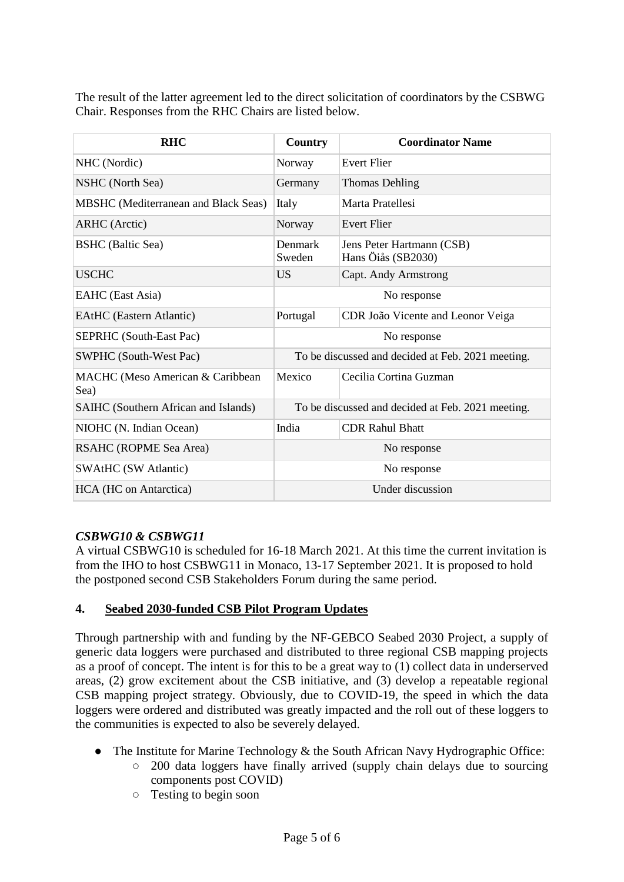The result of the latter agreement led to the direct solicitation of coordinators by the CSBWG Chair. Responses from the RHC Chairs are listed below.

| <b>RHC</b>                                  | Country                                           | <b>Coordinator Name</b>                         |
|---------------------------------------------|---------------------------------------------------|-------------------------------------------------|
| NHC (Nordic)                                | Norway                                            | <b>Evert Flier</b>                              |
| NSHC (North Sea)                            | Germany                                           | <b>Thomas Dehling</b>                           |
| <b>MBSHC</b> (Mediterranean and Black Seas) | Italy                                             | Marta Pratellesi                                |
| <b>ARHC</b> (Arctic)                        | Norway                                            | <b>Evert Flier</b>                              |
| <b>BSHC</b> (Baltic Sea)                    | Denmark<br>Sweden                                 | Jens Peter Hartmann (CSB)<br>Hans Öiås (SB2030) |
| <b>USCHC</b>                                | <b>US</b>                                         | Capt. Andy Armstrong                            |
| EAHC (East Asia)                            | No response                                       |                                                 |
| <b>EAtHC</b> (Eastern Atlantic)             | Portugal                                          | CDR João Vicente and Leonor Veiga               |
| <b>SEPRHC</b> (South-East Pac)              | No response                                       |                                                 |
| <b>SWPHC</b> (South-West Pac)               | To be discussed and decided at Feb. 2021 meeting. |                                                 |
| MACHC (Meso American & Caribbean<br>Sea)    | Mexico                                            | Cecilia Cortina Guzman                          |
| SAIHC (Southern African and Islands)        | To be discussed and decided at Feb. 2021 meeting. |                                                 |
| NIOHC (N. Indian Ocean)                     | India                                             | <b>CDR Rahul Bhatt</b>                          |
| RSAHC (ROPME Sea Area)                      | No response                                       |                                                 |
| <b>SWAtHC (SW Atlantic)</b>                 | No response                                       |                                                 |
| HCA (HC on Antarctica)                      | Under discussion                                  |                                                 |

### *CSBWG10 & CSBWG11*

A virtual CSBWG10 is scheduled for 16-18 March 2021. At this time the current invitation is from the IHO to host CSBWG11 in Monaco, 13-17 September 2021. It is proposed to hold the postponed second CSB Stakeholders Forum during the same period.

# **4. Seabed 2030-funded CSB Pilot Program Updates**

Through partnership with and funding by the NF-GEBCO Seabed 2030 Project, a supply of generic data loggers were purchased and distributed to three regional CSB mapping projects as a proof of concept. The intent is for this to be a great way to (1) collect data in underserved areas, (2) grow excitement about the CSB initiative, and (3) develop a repeatable regional CSB mapping project strategy. Obviously, due to COVID-19, the speed in which the data loggers were ordered and distributed was greatly impacted and the roll out of these loggers to the communities is expected to also be severely delayed.

- The Institute for Marine Technology & the South African Navy Hydrographic Office:
	- 200 data loggers have finally arrived (supply chain delays due to sourcing components post COVID)
	- Testing to begin soon